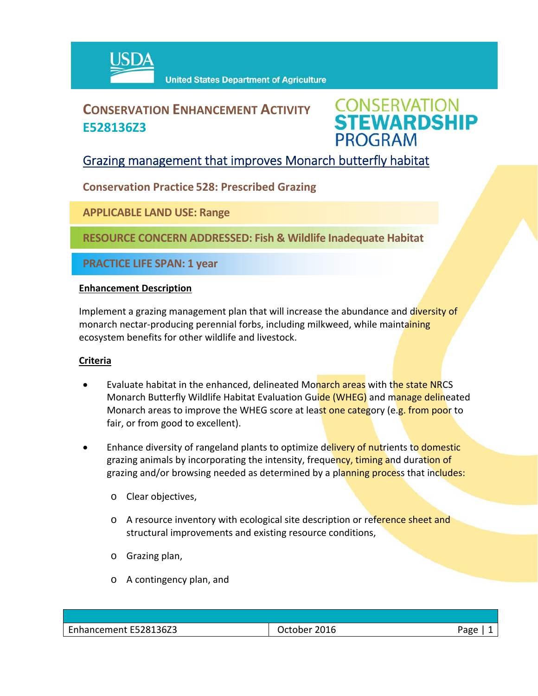

## **CONSERVATION ENHANCEMENT ACTIVITY E528136Z3**

# **CONSERVATION<br>STEWARDSHIP PROGRAM**

### Grazing management that improves Monarch butterfly habitat

**Conservation Practice 528: Prescribed Grazing**

**APPLICABLE LAND USE: Range**

**RESOURCE CONCERN ADDRESSED: Fish & Wildlife Inadequate Habitat**

**PRACTICE LIFE SPAN: 1 year**

#### **Enhancement Description**

Implement a grazing management plan that will increase the abundance and diversity of monarch nectar-producing perennial forbs, including milkweed, while maintaining ecosystem benefits for other wildlife and livestock.

#### **Criteria**

- Evaluate habitat in the enhanced, delineated Monarch areas with the state NRCS Monarch Butterfly Wildlife Habitat Evaluation Guide (WHEG) and manage delineated Monarch areas to improve the WHEG score at least one category (e.g. from poor to fair, or from good to excellent).
- Enhance diversity of rangeland plants to optimize delivery of nutrients to domestic grazing animals by incorporating the intensity, frequency, timing and duration of grazing and/or browsing needed as determined by a planning process that includes:
	- o Clear objectives,
	- o A resource inventory with ecological site description or reference sheet and structural improvements and existing resource conditions,
	- o Grazing plan,
	- o A contingency plan, and

| Enhancement E528136Z3 | 2016<br>101000<br>uctone. | Page |
|-----------------------|---------------------------|------|